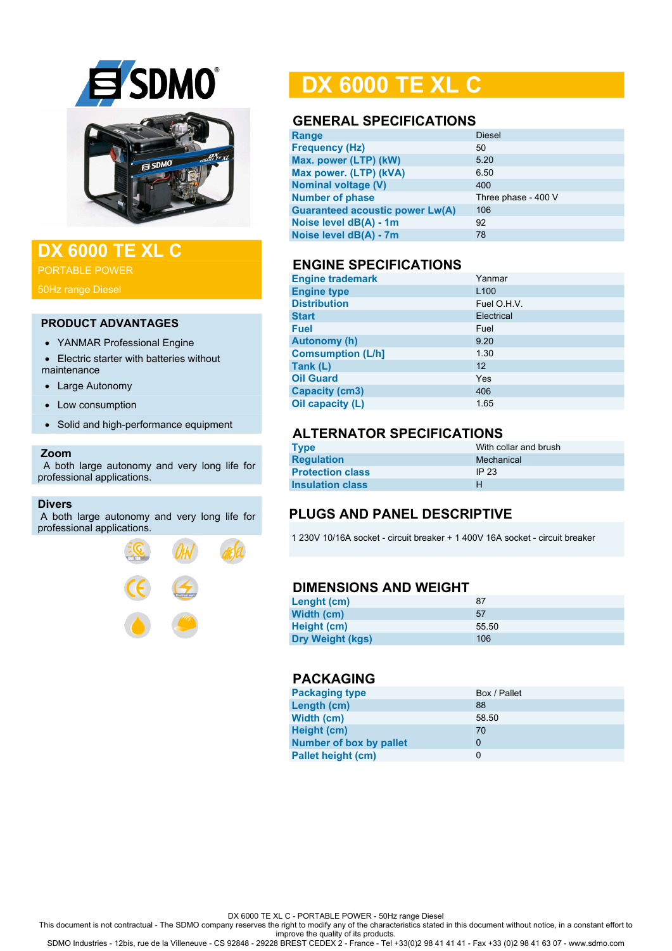

## **DX 6000 TE XL C**

PORTABLE POWER

#### **PRODUCT ADVANTAGES**

- YANMAR Professional Engine
- Electric starter with batteries without maintenance
- Large Autonomy
- Low consumption
- Solid and high-performance equipment

#### **Zoom**

 A both large autonomy and very long life for professional applications.

#### **Divers**

A both large autonomy and very long life for professional applications.



## **DX 6000 TE XL C**

#### **GENERAL SPECIFICATIONS**

| <b>Diesel</b>       |
|---------------------|
| 50                  |
| 5.20                |
| 6.50                |
| 400                 |
| Three phase - 400 V |
| 106                 |
| 92                  |
| 78                  |
|                     |

### **ENGINE SPECIFICATIONS**

| <b>Engine trademark</b>  | Yanmar           |
|--------------------------|------------------|
| <b>Engine type</b>       | L <sub>100</sub> |
| <b>Distribution</b>      | Fuel O.H.V.      |
| <b>Start</b>             | Electrical       |
| <b>Fuel</b>              | Fuel             |
| <b>Autonomy (h)</b>      | 9.20             |
| <b>Comsumption (L/h]</b> | 1.30             |
| Tank (L)                 | 12               |
| <b>Oil Guard</b>         | Yes              |
| <b>Capacity (cm3)</b>    | 406              |
| Oil capacity (L)         | 1.65             |

## **ALTERNATOR SPECIFICATIONS**

| <b>Type</b>             | With collar and brush |
|-------------------------|-----------------------|
| <b>Regulation</b>       | Mechanical            |
| <b>Protection class</b> | IP 23                 |
| <b>Insulation class</b> | н                     |

## **PLUGS AND PANEL DESCRIPTIVE**

1 230V 10/16A socket - circuit breaker + 1 400V 16A socket - circuit breaker

#### **DIMENSIONS AND WEIGHT**

| Lenght (cm)             | 87    |
|-------------------------|-------|
| Width (cm)              | 57    |
| Height (cm)             | 55.50 |
| <b>Dry Weight (kgs)</b> | 106   |

#### **PACKAGING**

| <b>Packaging type</b>          | Box / Pallet |
|--------------------------------|--------------|
| Length (cm)                    | 88           |
| Width (cm)                     | 58.50        |
| Height (cm)                    | 70           |
| <b>Number of box by pallet</b> | 0            |
| <b>Pallet height (cm)</b>      | 0            |

DX 6000 TE XL C - PORTABLE POWER - 50Hz range Diesel

This document is not contractual - The SDMO company reserves the right to modify any of the characteristics stated in this document without notice, in a constant effort to

improve the quality of its products. SDMO Industries - 12bis, rue de la Villeneuve - CS 92848 - 29228 BREST CEDEX 2 - France - Tel +33(0)2 98 41 41 41 - Fax +33 (0)2 98 41 63 07 - www.sdmo.com